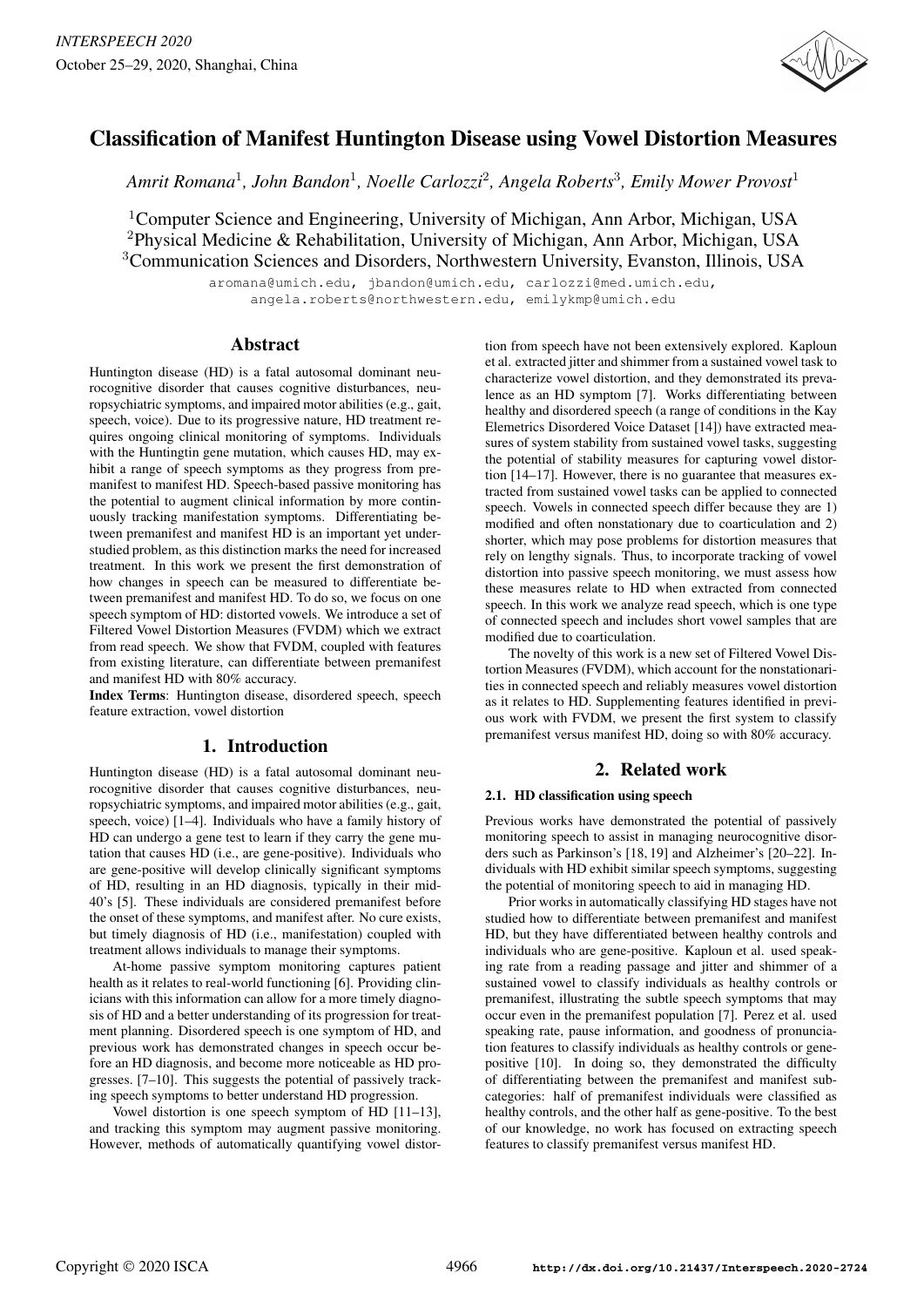

# Classification of Manifest Huntington Disease using Vowel Distortion Measures

*Amrit Romana*<sup>1</sup> *, John Bandon*<sup>1</sup> *, Noelle Carlozzi*<sup>2</sup> *, Angela Roberts*<sup>3</sup> *, Emily Mower Provost*<sup>1</sup>

<sup>1</sup>Computer Science and Engineering, University of Michigan, Ann Arbor, Michigan, USA <sup>2</sup>Physical Medicine & Rehabilitation, University of Michigan, Ann Arbor, Michigan, USA <sup>3</sup>Communication Sciences and Disorders, Northwestern University, Evanston, Illinois, USA

> aromana@umich.edu, jbandon@umich.edu, carlozzi@med.umich.edu, angela.roberts@northwestern.edu, emilykmp@umich.edu

# Abstract

Huntington disease (HD) is a fatal autosomal dominant neurocognitive disorder that causes cognitive disturbances, neuropsychiatric symptoms, and impaired motor abilities (e.g., gait, speech, voice). Due to its progressive nature, HD treatment requires ongoing clinical monitoring of symptoms. Individuals with the Huntingtin gene mutation, which causes HD, may exhibit a range of speech symptoms as they progress from premanifest to manifest HD. Speech-based passive monitoring has the potential to augment clinical information by more continuously tracking manifestation symptoms. Differentiating between premanifest and manifest HD is an important yet understudied problem, as this distinction marks the need for increased treatment. In this work we present the first demonstration of how changes in speech can be measured to differentiate between premanifest and manifest HD. To do so, we focus on one speech symptom of HD: distorted vowels. We introduce a set of Filtered Vowel Distortion Measures (FVDM) which we extract from read speech. We show that FVDM, coupled with features from existing literature, can differentiate between premanifest and manifest HD with 80% accuracy.

Index Terms: Huntington disease, disordered speech, speech feature extraction, vowel distortion

# 1. Introduction

Huntington disease (HD) is a fatal autosomal dominant neurocognitive disorder that causes cognitive disturbances, neuropsychiatric symptoms, and impaired motor abilities (e.g., gait, speech, voice) [1–4]. Individuals who have a family history of HD can undergo a gene test to learn if they carry the gene mutation that causes HD (i.e., are gene-positive). Individuals who are gene-positive will develop clinically significant symptoms of HD, resulting in an HD diagnosis, typically in their mid-40's [5]. These individuals are considered premanifest before the onset of these symptoms, and manifest after. No cure exists, but timely diagnosis of HD (i.e., manifestation) coupled with treatment allows individuals to manage their symptoms.

At-home passive symptom monitoring captures patient health as it relates to real-world functioning [6]. Providing clinicians with this information can allow for a more timely diagnosis of HD and a better understanding of its progression for treatment planning. Disordered speech is one symptom of HD, and previous work has demonstrated changes in speech occur before an HD diagnosis, and become more noticeable as HD progresses. [7–10]. This suggests the potential of passively tracking speech symptoms to better understand HD progression.

Vowel distortion is one speech symptom of HD [11–13], and tracking this symptom may augment passive monitoring. However, methods of automatically quantifying vowel distortion from speech have not been extensively explored. Kaploun et al. extracted jitter and shimmer from a sustained vowel task to characterize vowel distortion, and they demonstrated its prevalence as an HD symptom [7]. Works differentiating between healthy and disordered speech (a range of conditions in the Kay Elemetrics Disordered Voice Dataset [14]) have extracted measures of system stability from sustained vowel tasks, suggesting the potential of stability measures for capturing vowel distortion [14–17]. However, there is no guarantee that measures extracted from sustained vowel tasks can be applied to connected speech. Vowels in connected speech differ because they are 1) modified and often nonstationary due to coarticulation and 2) shorter, which may pose problems for distortion measures that rely on lengthy signals. Thus, to incorporate tracking of vowel distortion into passive speech monitoring, we must assess how these measures relate to HD when extracted from connected speech. In this work we analyze read speech, which is one type of connected speech and includes short vowel samples that are modified due to coarticulation.

The novelty of this work is a new set of Filtered Vowel Distortion Measures (FVDM), which account for the nonstationarities in connected speech and reliably measures vowel distortion as it relates to HD. Supplementing features identified in previous work with FVDM, we present the first system to classify premanifest versus manifest HD, doing so with 80% accuracy.

# 2. Related work

## 2.1. HD classification using speech

Previous works have demonstrated the potential of passively monitoring speech to assist in managing neurocognitive disorders such as Parkinson's [18, 19] and Alzheimer's [20–22]. Individuals with HD exhibit similar speech symptoms, suggesting the potential of monitoring speech to aid in managing HD.

Prior works in automatically classifying HD stages have not studied how to differentiate between premanifest and manifest HD, but they have differentiated between healthy controls and individuals who are gene-positive. Kaploun et al. used speaking rate from a reading passage and jitter and shimmer of a sustained vowel to classify individuals as healthy controls or premanifest, illustrating the subtle speech symptoms that may occur even in the premanifest population [7]. Perez et al. used speaking rate, pause information, and goodness of pronunciation features to classify individuals as healthy controls or genepositive [10]. In doing so, they demonstrated the difficulty of differentiating between the premanifest and manifest subcategories: half of premanifest individuals were classified as healthy controls, and the other half as gene-positive. To the best of our knowledge, no work has focused on extracting speech features to classify premanifest versus manifest HD.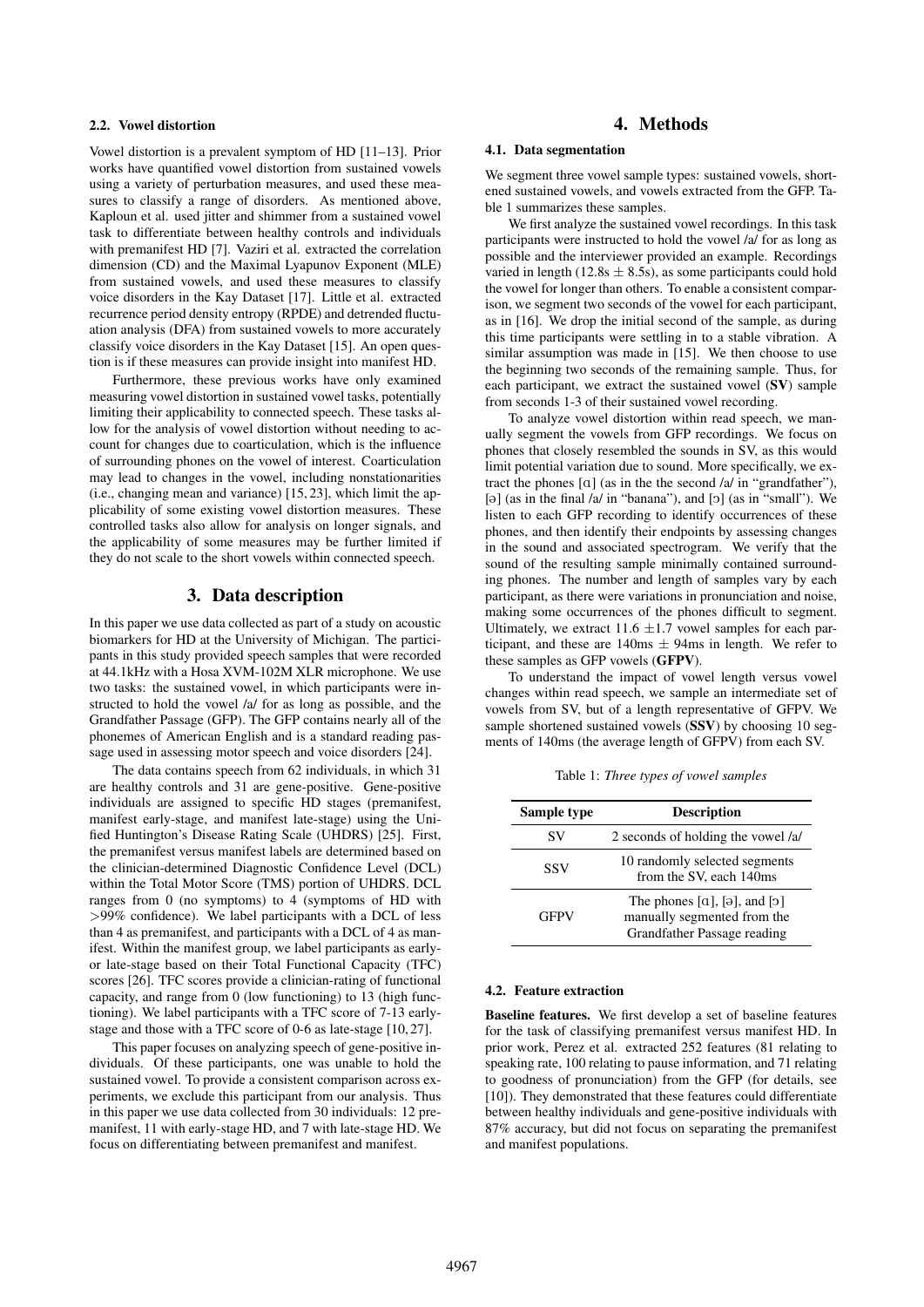### 2.2. Vowel distortion

Vowel distortion is a prevalent symptom of HD [11–13]. Prior works have quantified vowel distortion from sustained vowels using a variety of perturbation measures, and used these measures to classify a range of disorders. As mentioned above, Kaploun et al. used jitter and shimmer from a sustained vowel task to differentiate between healthy controls and individuals with premanifest HD [7]. Vaziri et al. extracted the correlation dimension (CD) and the Maximal Lyapunov Exponent (MLE) from sustained vowels, and used these measures to classify voice disorders in the Kay Dataset [17]. Little et al. extracted recurrence period density entropy (RPDE) and detrended fluctuation analysis (DFA) from sustained vowels to more accurately classify voice disorders in the Kay Dataset [15]. An open question is if these measures can provide insight into manifest HD.

Furthermore, these previous works have only examined measuring vowel distortion in sustained vowel tasks, potentially limiting their applicability to connected speech. These tasks allow for the analysis of vowel distortion without needing to account for changes due to coarticulation, which is the influence of surrounding phones on the vowel of interest. Coarticulation may lead to changes in the vowel, including nonstationarities (i.e., changing mean and variance) [15, 23], which limit the applicability of some existing vowel distortion measures. These controlled tasks also allow for analysis on longer signals, and the applicability of some measures may be further limited if they do not scale to the short vowels within connected speech.

# 3. Data description

In this paper we use data collected as part of a study on acoustic biomarkers for HD at the University of Michigan. The participants in this study provided speech samples that were recorded at 44.1kHz with a Hosa XVM-102M XLR microphone. We use two tasks: the sustained vowel, in which participants were instructed to hold the vowel /a/ for as long as possible, and the Grandfather Passage (GFP). The GFP contains nearly all of the phonemes of American English and is a standard reading passage used in assessing motor speech and voice disorders [24].

The data contains speech from 62 individuals, in which 31 are healthy controls and 31 are gene-positive. Gene-positive individuals are assigned to specific HD stages (premanifest, manifest early-stage, and manifest late-stage) using the Unified Huntington's Disease Rating Scale (UHDRS) [25]. First, the premanifest versus manifest labels are determined based on the clinician-determined Diagnostic Confidence Level (DCL) within the Total Motor Score (TMS) portion of UHDRS. DCL ranges from 0 (no symptoms) to 4 (symptoms of HD with >99% confidence). We label participants with a DCL of less than 4 as premanifest, and participants with a DCL of 4 as manifest. Within the manifest group, we label participants as earlyor late-stage based on their Total Functional Capacity (TFC) scores [26]. TFC scores provide a clinician-rating of functional capacity, and range from 0 (low functioning) to 13 (high functioning). We label participants with a TFC score of 7-13 earlystage and those with a TFC score of 0-6 as late-stage [10, 27].

This paper focuses on analyzing speech of gene-positive individuals. Of these participants, one was unable to hold the sustained vowel. To provide a consistent comparison across experiments, we exclude this participant from our analysis. Thus in this paper we use data collected from 30 individuals: 12 premanifest, 11 with early-stage HD, and 7 with late-stage HD. We focus on differentiating between premanifest and manifest.

# 4. Methods

#### 4.1. Data segmentation

We segment three vowel sample types: sustained vowels, shortened sustained vowels, and vowels extracted from the GFP. Table 1 summarizes these samples.

We first analyze the sustained vowel recordings. In this task participants were instructed to hold the vowel /a/ for as long as possible and the interviewer provided an example. Recordings varied in length (12.8s  $\pm$  8.5s), as some participants could hold the vowel for longer than others. To enable a consistent comparison, we segment two seconds of the vowel for each participant, as in [16]. We drop the initial second of the sample, as during this time participants were settling in to a stable vibration. A similar assumption was made in [15]. We then choose to use the beginning two seconds of the remaining sample. Thus, for each participant, we extract the sustained vowel (SV) sample from seconds 1-3 of their sustained vowel recording.

To analyze vowel distortion within read speech, we manually segment the vowels from GFP recordings. We focus on phones that closely resembled the sounds in SV, as this would limit potential variation due to sound. More specifically, we extract the phones  $\lceil \alpha \rceil$  (as in the the second /a/ in "grandfather"), [ $\Theta$ ] (as in the final /a/ in "banana"), and [ $\Theta$ ] (as in "small"). We listen to each GFP recording to identify occurrences of these phones, and then identify their endpoints by assessing changes in the sound and associated spectrogram. We verify that the sound of the resulting sample minimally contained surrounding phones. The number and length of samples vary by each participant, as there were variations in pronunciation and noise, making some occurrences of the phones difficult to segment. Ultimately, we extract 11.6  $\pm$ 1.7 vowel samples for each participant, and these are  $140\text{ms} \pm 94\text{ms}$  in length. We refer to these samples as GFP vowels (GFPV).

To understand the impact of vowel length versus vowel changes within read speech, we sample an intermediate set of vowels from SV, but of a length representative of GFPV. We sample shortened sustained vowels (SSV) by choosing 10 segments of 140ms (the average length of GFPV) from each SV.

Table 1: *Three types of vowel samples*

| Sample type | <b>Description</b>                                                                                               |  |  |
|-------------|------------------------------------------------------------------------------------------------------------------|--|--|
| SV          | 2 seconds of holding the vowel /a/                                                                               |  |  |
| SSV         | 10 randomly selected segments<br>from the SV, each 140ms                                                         |  |  |
| <b>GFPV</b> | The phones $[a]$ , $[\partial]$ , and $[\partial]$<br>manually segmented from the<br>Grandfather Passage reading |  |  |

#### 4.2. Feature extraction

Baseline features. We first develop a set of baseline features for the task of classifying premanifest versus manifest HD. In prior work, Perez et al. extracted 252 features (81 relating to speaking rate, 100 relating to pause information, and 71 relating to goodness of pronunciation) from the GFP (for details, see [10]). They demonstrated that these features could differentiate between healthy individuals and gene-positive individuals with 87% accuracy, but did not focus on separating the premanifest and manifest populations.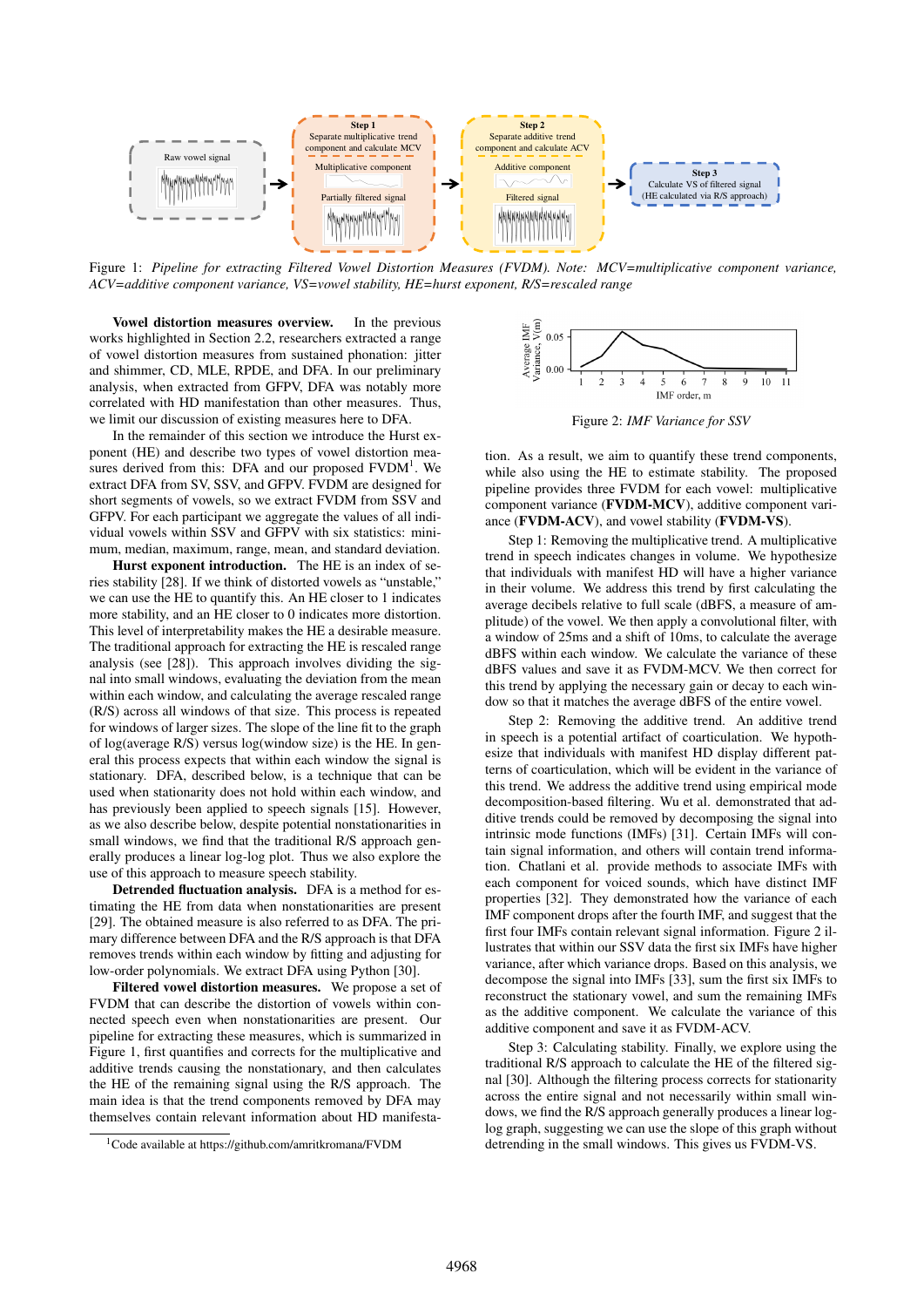

Figure 1: *Pipeline for extracting Filtered Vowel Distortion Measures (FVDM). Note: MCV=multiplicative component variance, ACV=additive component variance, VS=vowel stability, HE=hurst exponent, R/S=rescaled range*

Vowel distortion measures overview. In the previous works highlighted in Section 2.2, researchers extracted a range of vowel distortion measures from sustained phonation: jitter and shimmer, CD, MLE, RPDE, and DFA. In our preliminary analysis, when extracted from GFPV, DFA was notably more correlated with HD manifestation than other measures. Thus, we limit our discussion of existing measures here to DFA.

In the remainder of this section we introduce the Hurst exponent (HE) and describe two types of vowel distortion measures derived from this: DFA and our proposed  $FVDM<sup>1</sup>$ . We extract DFA from SV, SSV, and GFPV. FVDM are designed for short segments of vowels, so we extract FVDM from SSV and GFPV. For each participant we aggregate the values of all individual vowels within SSV and GFPV with six statistics: minimum, median, maximum, range, mean, and standard deviation.

Hurst exponent introduction. The HE is an index of series stability [28]. If we think of distorted vowels as "unstable," we can use the HE to quantify this. An HE closer to 1 indicates more stability, and an HE closer to 0 indicates more distortion. This level of interpretability makes the HE a desirable measure. The traditional approach for extracting the HE is rescaled range analysis (see [28]). This approach involves dividing the signal into small windows, evaluating the deviation from the mean within each window, and calculating the average rescaled range (R/S) across all windows of that size. This process is repeated for windows of larger sizes. The slope of the line fit to the graph of log(average R/S) versus log(window size) is the HE. In general this process expects that within each window the signal is stationary. DFA, described below, is a technique that can be used when stationarity does not hold within each window, and has previously been applied to speech signals [15]. However, as we also describe below, despite potential nonstationarities in small windows, we find that the traditional R/S approach generally produces a linear log-log plot. Thus we also explore the use of this approach to measure speech stability.

Detrended fluctuation analysis. DFA is a method for estimating the HE from data when nonstationarities are present [29]. The obtained measure is also referred to as DFA. The primary difference between DFA and the R/S approach is that DFA removes trends within each window by fitting and adjusting for low-order polynomials. We extract DFA using Python [30].

Filtered vowel distortion measures. We propose a set of FVDM that can describe the distortion of vowels within connected speech even when nonstationarities are present. Our pipeline for extracting these measures, which is summarized in Figure 1, first quantifies and corrects for the multiplicative and additive trends causing the nonstationary, and then calculates the HE of the remaining signal using the R/S approach. The main idea is that the trend components removed by DFA may themselves contain relevant information about HD manifesta-



Figure 2: *IMF Variance for SSV*

tion. As a result, we aim to quantify these trend components, while also using the HE to estimate stability. The proposed pipeline provides three FVDM for each vowel: multiplicative component variance (FVDM-MCV), additive component variance (FVDM-ACV), and vowel stability (FVDM-VS).

Step 1: Removing the multiplicative trend. A multiplicative trend in speech indicates changes in volume. We hypothesize that individuals with manifest HD will have a higher variance in their volume. We address this trend by first calculating the average decibels relative to full scale (dBFS, a measure of amplitude) of the vowel. We then apply a convolutional filter, with a window of 25ms and a shift of 10ms, to calculate the average dBFS within each window. We calculate the variance of these dBFS values and save it as FVDM-MCV. We then correct for this trend by applying the necessary gain or decay to each window so that it matches the average dBFS of the entire vowel.

Step 2: Removing the additive trend. An additive trend in speech is a potential artifact of coarticulation. We hypothesize that individuals with manifest HD display different patterns of coarticulation, which will be evident in the variance of this trend. We address the additive trend using empirical mode decomposition-based filtering. Wu et al. demonstrated that additive trends could be removed by decomposing the signal into intrinsic mode functions (IMFs) [31]. Certain IMFs will contain signal information, and others will contain trend information. Chatlani et al. provide methods to associate IMFs with each component for voiced sounds, which have distinct IMF properties [32]. They demonstrated how the variance of each IMF component drops after the fourth IMF, and suggest that the first four IMFs contain relevant signal information. Figure 2 illustrates that within our SSV data the first six IMFs have higher variance, after which variance drops. Based on this analysis, we decompose the signal into IMFs [33], sum the first six IMFs to reconstruct the stationary vowel, and sum the remaining IMFs as the additive component. We calculate the variance of this additive component and save it as FVDM-ACV.

Step 3: Calculating stability. Finally, we explore using the traditional R/S approach to calculate the HE of the filtered signal [30]. Although the filtering process corrects for stationarity across the entire signal and not necessarily within small windows, we find the R/S approach generally produces a linear loglog graph, suggesting we can use the slope of this graph without detrending in the small windows. This gives us FVDM-VS.

<sup>1</sup>Code available at https://github.com/amritkromana/FVDM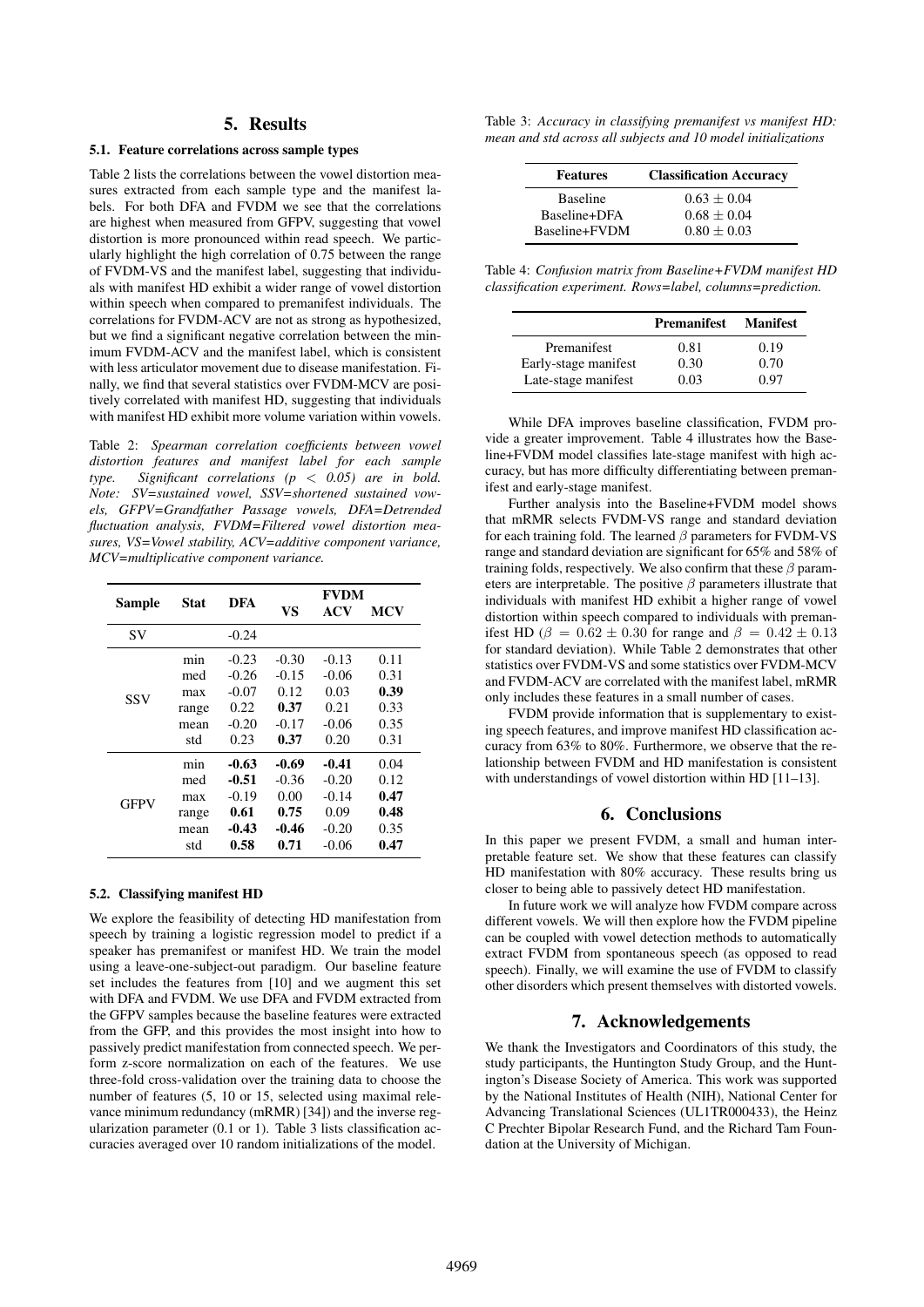### 5. Results

#### 5.1. Feature correlations across sample types

Table 2 lists the correlations between the vowel distortion measures extracted from each sample type and the manifest labels. For both DFA and FVDM we see that the correlations are highest when measured from GFPV, suggesting that vowel distortion is more pronounced within read speech. We particularly highlight the high correlation of 0.75 between the range of FVDM-VS and the manifest label, suggesting that individuals with manifest HD exhibit a wider range of vowel distortion within speech when compared to premanifest individuals. The correlations for FVDM-ACV are not as strong as hypothesized, but we find a significant negative correlation between the minimum FVDM-ACV and the manifest label, which is consistent with less articulator movement due to disease manifestation. Finally, we find that several statistics over FVDM-MCV are positively correlated with manifest HD, suggesting that individuals with manifest HD exhibit more volume variation within vowels.

Table 2: *Spearman correlation coefficients between vowel distortion features and manifest label for each sample type. Significant correlations (p* < *0.05) are in bold. Note: SV=sustained vowel, SSV=shortened sustained vowels, GFPV=Grandfather Passage vowels, DFA=Detrended fluctuation analysis, FVDM=Filtered vowel distortion measures, VS=Vowel stability, ACV=additive component variance, MCV=multiplicative component variance.*

| Sample      | Stat  | DFA     | VS      | <b>FVDM</b><br>ACV | <b>MCV</b> |
|-------------|-------|---------|---------|--------------------|------------|
| <b>SV</b>   |       | $-0.24$ |         |                    |            |
| SSV         | min   | $-0.23$ | $-0.30$ | $-0.13$            | 0.11       |
|             | med   | $-0.26$ | $-0.15$ | $-0.06$            | 0.31       |
|             | max   | $-0.07$ | 0.12    | 0.03               | 0.39       |
|             | range | 0.22    | 0.37    | 0.21               | 0.33       |
|             | mean  | $-0.20$ | $-0.17$ | $-0.06$            | 0.35       |
|             | std   | 0.23    | 0.37    | 0.20               | 0.31       |
| <b>GFPV</b> | min   | -0.63   | -0.69   | $-0.41$            | 0.04       |
|             | med   | -0.51   | $-0.36$ | $-0.20$            | 0.12       |
|             | max   | $-0.19$ | 0.00    | $-0.14$            | 0.47       |
|             | range | 0.61    | 0.75    | 0.09               | 0.48       |
|             | mean  | -0.43   | -0.46   | $-0.20$            | 0.35       |
|             | std   | 0.58    | 0.71    | $-0.06$            | 0.47       |

#### 5.2. Classifying manifest HD

We explore the feasibility of detecting HD manifestation from speech by training a logistic regression model to predict if a speaker has premanifest or manifest HD. We train the model using a leave-one-subject-out paradigm. Our baseline feature set includes the features from [10] and we augment this set with DFA and FVDM. We use DFA and FVDM extracted from the GFPV samples because the baseline features were extracted from the GFP, and this provides the most insight into how to passively predict manifestation from connected speech. We perform z-score normalization on each of the features. We use three-fold cross-validation over the training data to choose the number of features (5, 10 or 15, selected using maximal relevance minimum redundancy (mRMR) [34]) and the inverse regularization parameter (0.1 or 1). Table 3 lists classification accuracies averaged over 10 random initializations of the model.

Table 3: *Accuracy in classifying premanifest vs manifest HD: mean and std across all subjects and 10 model initializations*

| <b>Features</b>                 | <b>Classification Accuracy</b> |  |  |
|---------------------------------|--------------------------------|--|--|
| <b>Baseline</b><br>Baseline+DFA | $0.63 + 0.04$<br>$0.68 + 0.04$ |  |  |
| Baseline+FVDM                   | $0.80 + 0.03$                  |  |  |

Table 4: *Confusion matrix from Baseline+FVDM manifest HD classification experiment. Rows=label, columns=prediction.*

|                      | <b>Premanifest</b> | <b>Manifest</b> |
|----------------------|--------------------|-----------------|
| Premanifest          | 0.81               | 0.19            |
| Early-stage manifest | 0.30               | 0.70            |
| Late-stage manifest  | 0.03               | () 97           |

While DFA improves baseline classification, FVDM provide a greater improvement. Table 4 illustrates how the Baseline+FVDM model classifies late-stage manifest with high accuracy, but has more difficulty differentiating between premanifest and early-stage manifest.

Further analysis into the Baseline+FVDM model shows that mRMR selects FVDM-VS range and standard deviation for each training fold. The learned  $\beta$  parameters for FVDM-VS range and standard deviation are significant for 65% and 58% of training folds, respectively. We also confirm that these  $\beta$  parameters are interpretable. The positive  $\beta$  parameters illustrate that individuals with manifest HD exhibit a higher range of vowel distortion within speech compared to individuals with premanifest HD ( $\beta = 0.62 \pm 0.30$  for range and  $\beta = 0.42 \pm 0.13$ for standard deviation). While Table 2 demonstrates that other statistics over FVDM-VS and some statistics over FVDM-MCV and FVDM-ACV are correlated with the manifest label, mRMR only includes these features in a small number of cases.

FVDM provide information that is supplementary to existing speech features, and improve manifest HD classification accuracy from 63% to 80%. Furthermore, we observe that the relationship between FVDM and HD manifestation is consistent with understandings of vowel distortion within HD [11–13].

## 6. Conclusions

In this paper we present FVDM, a small and human interpretable feature set. We show that these features can classify HD manifestation with 80% accuracy. These results bring us closer to being able to passively detect HD manifestation.

In future work we will analyze how FVDM compare across different vowels. We will then explore how the FVDM pipeline can be coupled with vowel detection methods to automatically extract FVDM from spontaneous speech (as opposed to read speech). Finally, we will examine the use of FVDM to classify other disorders which present themselves with distorted vowels.

# 7. Acknowledgements

We thank the Investigators and Coordinators of this study, the study participants, the Huntington Study Group, and the Huntington's Disease Society of America. This work was supported by the National Institutes of Health (NIH), National Center for Advancing Translational Sciences (UL1TR000433), the Heinz C Prechter Bipolar Research Fund, and the Richard Tam Foundation at the University of Michigan.